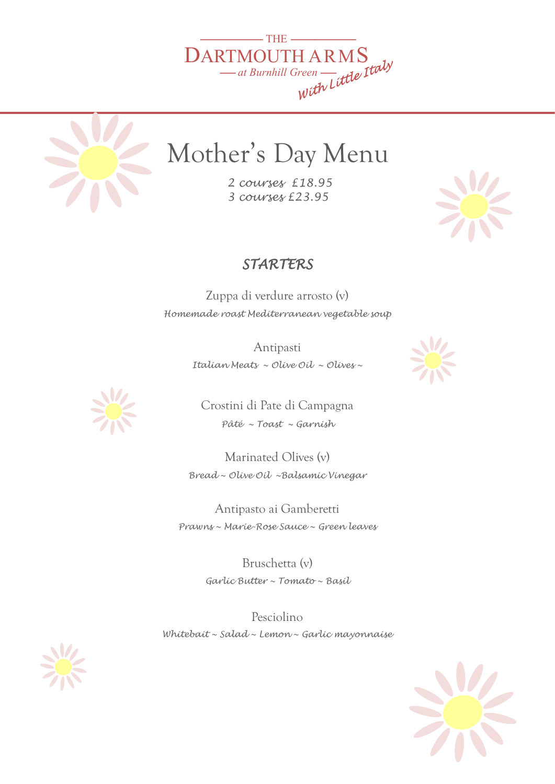



## Mother's Day Menu

 *2 courses £18.95 3 courses £23.95*

## *STARTERS*

Zuppa di verdure arrosto (v) *Homemade roast Mediterranean vegetable soup* 

> Antipasti *Italian Meats ~ Olive Oil ~ Olives ~*





Crostini di Pate di Campagna *Pâté ~ Toast ~ Garnish* 

Marinated Olives (v) *Bread ~ Olive Oil ~Balsamic Vinegar* 

Antipasto ai Gamberetti *Prawns ~ Marie-Rose Sauce ~ Green leaves* 

> Bruschetta (v) *Garlic Butter ~ Tomato ~ Basil*

Pesciolino *Whitebait ~ Salad ~ Lemon ~ Garlic mayonnaise*